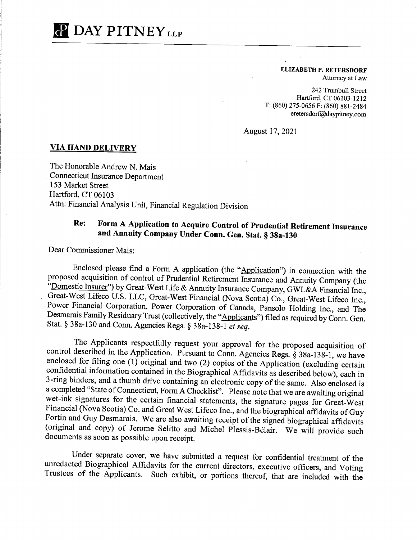## **P** DAY PITNEY<sub>LLP</sub>

**ELIZABETH P. RETERSDORF**  Attorney at Law

242 Trumbull Street Hartford, CT 06103-1212 T: (860) 275-0656 F: (860) 881-2484 eretersdorf@daypitney.com

August 17, 2021

## **VIA HAND DELIVERY**

The Honorable Andrew N. Mais Connecticut Insurance Department 153 Market Street Hartford, CT 06103 Attn: Financial Analysis Unit, Financial Regulation Division

## **Re: Form A Application to Acquire Control of Prudential Retirement Insurance and Annuity Company Under Conn. Gen. Stat.§ 38a-130**

Dear Commissioner Mais:

Enclosed please find a Form A application (the "Application") in connection with the proposed acquisition of control of Prudential Retirement Insurance and Annuity Company (the "Domestic Insurer") by Great-West Life & Annuity Insurance Company, GWL&A Financial Inc., Great-West Lifeco U.S. LLC, Great-West Financial (Nova Scotia) Co., Great-West Lifeco Inc., Power Financial Corporation, Power Corporation of Canada, Pansolo Holding Inc., and The Desmarais Family Residuary Trust (collectively, the "Applicants") filed as required by Conn. Gen. Stat. § 38a-130 and Conn. Agencies Regs.§ 38a-138-1 *et seq.* 

The Applicants respectfully request your approval for the proposed acquisition of control described in the Application. Pursuant to Conn. Agencies Regs. § 38a-138-1, we have enclosed for filing one  $(1)$  original and two  $(2)$  copies of the Application (excluding certain confidential information contained in the Biographical Affidavits as described below), each in 3-ring binders, and a thumb drive containing an electronic copy of the same. Also enclosed is a completed "State of Connecticut, Form A Checklist". Please note that we are awaiting original wet-ink signatures for the certain financial statements, the signature pages for Great-West Financial (Nova Scotia) Co. and Great West Lifeco Inc., and the biographical affidavits of Guy Fortin and Guy Desmarais. We are also awaiting receipt of the signed biographical affidavits (original and copy) of Jerome Selitto and Michel Plessis-Belair. We will provide such documents as soon as possible upon receipt.

Under separate cover, we have submitted a request for confidential treatment of the unredacted Biographical Affidavits for the current directors, executive officers, and Voting Trustees of the Applicants. Such exhibit, or portions thereof, that are included with the